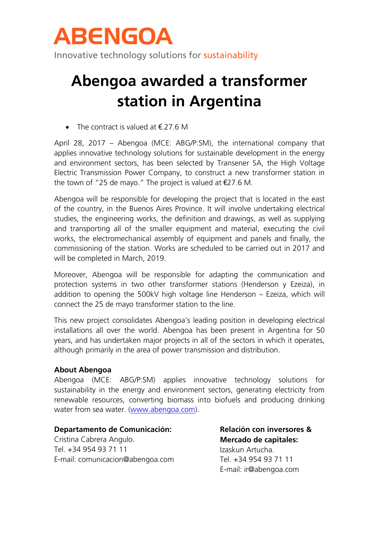

Innovative technology solutions for sustainability

## **Abengoa awarded a transformer station in Argentina**

• The contract is valued at  $\epsilon$ .27.6 M

April 28, 2017 – Abengoa (MCE: ABG/P:SM), the international company that applies innovative technology solutions for sustainable development in the energy and environment sectors, has been selected by Transener SA, the High Voltage Electric Transmission Power Company, to construct a new transformer station in the town of "25 de mayo." The project is valued at €27.6 M.

Abengoa will be responsible for developing the project that is located in the east of the country, in the Buenos Aires Province. It will involve undertaking electrical studies, the engineering works, the definition and drawings, as well as supplying and transporting all of the smaller equipment and material, executing the civil works, the electromechanical assembly of equipment and panels and finally, the commissioning of the station. Works are scheduled to be carried out in 2017 and will be completed in March, 2019.

Moreover, Abengoa will be responsible for adapting the communication and protection systems in two other transformer stations (Henderson y Ezeiza), in addition to opening the 500kV high voltage line Henderson – Ezeiza, which will connect the 25 de mayo transformer station to the line.

This new project consolidates Abengoa's leading position in developing electrical installations all over the world. Abengoa has been present in Argentina for 50 years, and has undertaken major projects in all of the sectors in which it operates, although primarily in the area of power transmission and distribution.

### **About Abengoa**

Abengoa (MCE: ABG/P:SM) applies innovative technology solutions for sustainability in the energy and environment sectors, generating electricity from renewable resources, converting biomass into biofuels and producing drinking water from sea water. [\(www.abengoa.com\)](http://www.abengoa.com/).

### **Departamento de Comunicación:**

Cristina Cabrera Angulo. Tel. +34 954 93 71 11 E-mail: comunicacion@abengoa.com **Relación con inversores & Mercado de capitales:** Izaskun Artucha. Tel. +34 954 93 71 11 E-mail: ir@abengoa.com